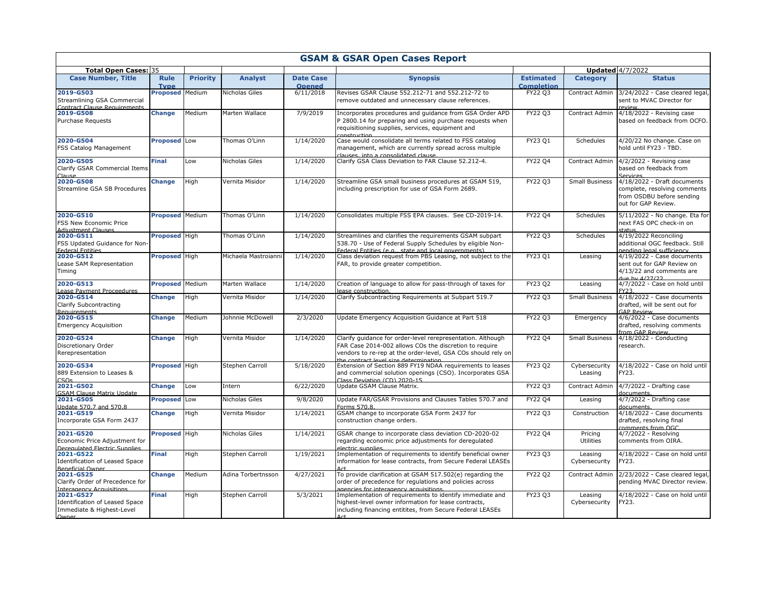| <b>GSAM &amp; GSAR Open Cases Report</b>                                                                                           |                            |                 |                      |                                   |                                                                                                                                                                                                                                 |                                       |                          |                                                                                                                 |  |  |  |  |
|------------------------------------------------------------------------------------------------------------------------------------|----------------------------|-----------------|----------------------|-----------------------------------|---------------------------------------------------------------------------------------------------------------------------------------------------------------------------------------------------------------------------------|---------------------------------------|--------------------------|-----------------------------------------------------------------------------------------------------------------|--|--|--|--|
| Total Open Cases: 35                                                                                                               |                            |                 |                      |                                   |                                                                                                                                                                                                                                 | Updated $4/7/2022$                    |                          |                                                                                                                 |  |  |  |  |
| <b>Case Number, Title</b>                                                                                                          | <b>Rule</b><br><b>Type</b> | <b>Priority</b> | <b>Analyst</b>       | <b>Date Case</b><br><b>Opened</b> | <b>Synopsis</b>                                                                                                                                                                                                                 | <b>Estimated</b><br><b>Completion</b> | <b>Category</b>          | <b>Status</b>                                                                                                   |  |  |  |  |
| 2019-G503<br>Streamlining GSA Commercial<br>Contract Clause Requirements                                                           | <b>Proposed</b> Medium     |                 | Nicholas Giles       | 6/11/2018                         | Revises GSAR Clause 552.212-71 and 552.212-72 to<br>remove outdated and unnecessary clause references.                                                                                                                          | FY22 Q3                               | Contract Admin           | 3/24/2022 - Case cleared legal,<br>sent to MVAC Director for<br>review                                          |  |  |  |  |
| 2019-G508<br>Purchase Requests                                                                                                     | <b>Change</b>              | Medium          | Marten Wallace       | 7/9/2019                          | Incorporates procedures and guidance from GSA Order APD<br>P 2800.14 for preparing and using purchase requests when<br>requisitioning supplies, services, equipment and<br>construction                                         | FY22 Q3                               | Contract Admin           | 4/18/2022 - Revising case<br>based on feedback from OCFO.                                                       |  |  |  |  |
| 2020-G504<br><b>FSS Catalog Management</b>                                                                                         | <b>Proposed</b> Low        |                 | Thomas O'Linn        | 1/14/2020                         | Case would consolidate all terms related to FSS catalog<br>management, which are currently spread across multiple<br>clauses into a consolidated clause                                                                         | FY23 Q1                               | Schedules                | $4/20/22$ No change. Case on<br>hold until FY23 - TBD.                                                          |  |  |  |  |
| 2020-G505<br>Clarify GSAR Commercial Items                                                                                         | <b>Final</b>               | Low             | Nicholas Giles       | 1/14/2020                         | Clarify GSA Class Deviation to FAR Clause 52.212-4.                                                                                                                                                                             | FY22 Q4                               | Contract Admin           | $4/2/2022$ - Revising case<br>based on feedback from<br>Services                                                |  |  |  |  |
| Clause<br>2020-G508<br>Streamline GSA SB Procedures                                                                                | <b>Change</b>              | High            | Vernita Misidor      | 1/14/2020                         | Streamline GSA small business procedures at GSAM 519,<br>including prescription for use of GSA Form 2689.                                                                                                                       | FY22 Q3                               | <b>Small Business</b>    | 4/18/2022 - Draft documents<br>complete, resolving comments<br>from OSDBU before sending<br>out for GAP Review. |  |  |  |  |
| 2020-G510<br><b>IFSS New Economic Price</b><br><b>Adjustment Clauses</b>                                                           | <b>Proposed Medium</b>     |                 | Thomas O'Linn        | 1/14/2020                         | Consolidates multiple FSS EPA clauses. See CD-2019-14.                                                                                                                                                                          | FY22 Q4                               | Schedules                | 5/11/2022 - No change. Eta for<br>next FAS OPC check-in on<br>status                                            |  |  |  |  |
| 2020-G511<br>FSS Updated Guidance for Non-<br><b>Federal Entities</b>                                                              | <b>Proposed</b> High       |                 | Thomas O'Linn        | 1/14/2020                         | Streamlines and clarifies the requirements GSAM subpart<br>538.70 - Use of Federal Supply Schedules by eligible Non-                                                                                                            | FY22 Q3                               | Schedules                | 4/19/2022 Reconciling<br>additional OGC feedback. Still<br>nending legal sufficiency                            |  |  |  |  |
| 2020-G512<br>Lease SAM Representation<br>Timing                                                                                    | <b>Proposed High</b>       |                 | Michaela Mastroianni | 1/14/2020                         | Federal Entities (e.g., state and local governments)<br>Class deviation request from PBS Leasing, not subject to the<br>FAR, to provide greater competition.                                                                    | <b>FY23 Q1</b>                        | Leasing                  | $4/19/2022$ - Case documents<br>sent out for GAP Review on<br>4/13/22 and comments are<br>due by $4/27/22$      |  |  |  |  |
| 2020-G513<br>Lease Payment Proceedures                                                                                             | <b>Proposed</b> Medium     |                 | Marten Wallace       | 1/14/2020                         | Creation of language to allow for pass-through of taxes for<br>lease construction.                                                                                                                                              | FY23 Q2                               | Leasing                  | 4/7/2022 - Case on hold until<br><b>FY23</b>                                                                    |  |  |  |  |
| 2020-G514<br>Clarify Subcontracting                                                                                                | <b>Change</b>              | High            | Vernita Misidor      | 1/14/2020                         | Clarify Subcontracting Requirements at Subpart 519.7                                                                                                                                                                            | FY22 Q3                               | <b>Small Business</b>    | 4/18/2022 - Case documents<br>drafted, will be sent out for<br><b>GAP Review.</b>                               |  |  |  |  |
| Requirements<br><b>Emergency Acquisition</b>                                                                                       | <b>Change</b>              | Medium          | Johnnie McDowell     | 2/3/2020                          | Update Emergency Acquisition Guidance at Part 518                                                                                                                                                                               | <b>FY22 Q3</b>                        | Emergency                | 4/6/2022 - Case documents<br>drafted, resolving comments<br>from GAP Review                                     |  |  |  |  |
| 2020-G524<br>Discretionary Order<br>Rerepresentation                                                                               | <b>Change</b>              | High            | Vernita Misidor      | 1/14/2020                         | Clarify guidance for order-level rerepresentation. Although<br>FAR Case 2014-002 allows COs the discretion to require<br>vendors to re-rep at the order-level, GSA COs should rely on<br>the contract level size determination. | FY22 Q4                               | Small Business           | 4/18/2022 - Conducting<br>research.                                                                             |  |  |  |  |
| 2020-G534<br>889 Extension to Leases &                                                                                             | <b>Proposed</b> High       |                 | Stephen Carroll      | 5/18/2020                         | Extension of Section 889 FY19 NDAA requirements to leases<br>and commercial solution openings (CSO). Incorporates GSA<br>Class Deviation (CD) 2020-15                                                                           | FY23 Q2                               | Cybersecurity<br>Leasing | 4/18/2022 - Case on hold until<br>FY23.                                                                         |  |  |  |  |
| CSOs<br>2021-G502<br><b>GSAM Clause Matrix Update</b>                                                                              | <b>Change</b>              | Low             | Intern               | 6/22/2020                         | Update GSAM Clause Matrix.                                                                                                                                                                                                      | FY22 Q3                               | Contract Admin           | 4/7/2022 - Drafting case<br>documents.                                                                          |  |  |  |  |
| 2021-G505<br>Update 570.7 and 570.8                                                                                                | <b>Proposed</b> Low        |                 | Nicholas Giles       | 9/8/2020                          | Update FAR/GSAR Provisions and Clauses Tables 570.7 and<br>Forms 570.8.                                                                                                                                                         | FY22 Q4                               | Leasing                  | 4/7/2022 - Drafting case<br>documents.                                                                          |  |  |  |  |
| 2021-G519<br>Incorporate GSA Form 2437                                                                                             | <b>Change</b>              | High            | Vernita Misidor      | 1/14/2021                         | GSAM change to incorporate GSA Form 2437 for<br>construction change orders.                                                                                                                                                     | FY22 Q3                               | Construction             | $4/18/2022$ - Case documents<br>drafted, resolving final<br>comments from OGC                                   |  |  |  |  |
| 2021-G520<br>Economic Price Adjustment for<br>Deregulated Electric Supplies                                                        | <b>Proposed</b> High       |                 | Nicholas Giles       | 1/14/2021                         | GSAR change to incorporate class deviation CD-2020-02<br>regarding economic price adjustments for deregulated<br>electric supplies.                                                                                             | FY22 Q4                               | Pricing<br>Utilities     | 4/7/2022 - Resolving<br>comments from OIRA.                                                                     |  |  |  |  |
| 2021-G522<br>Identification of Leased Space<br><b>Beneficial Owner</b>                                                             | <b>Final</b>               | High            | Stephen Carroll      | 1/19/2021                         | Implementation of requirements to identify beneficial owner<br>information for lease contracts, from Secure Federal LEASEs                                                                                                      | FY23 Q3                               | Leasing<br>Cybersecurity | 4/18/2022 - Case on hold until<br>FY23.                                                                         |  |  |  |  |
| <b>2021-G525</b><br>Clarify Order of Precedence for                                                                                | <b>Change</b>              | Medium          | Adina Torbertnsson   | 4/27/2021                         | Ar<br>To provide clarification at GSAM 517.502(e) regarding the<br>order of precedence for regulations and policies across                                                                                                      | <b>FY22 Q2</b>                        | Contract Admin           | 2/23/2022 - Case cleared legal,<br>pending MVAC Director review.                                                |  |  |  |  |
| Interagency Acquisitions<br>2021-G527<br>Identification of Leased Space<br>Immediate & Highest-Level<br><i><u><u>Owner</u></u></i> | <b>Final</b>               | High            | Stephen Carroll      | 5/3/2021                          | agencies for interagency acquisitions<br>Implementation of requirements to identify immediate and<br>highest-level owner information for lease contracts,<br>including financing entitites, from Secure Federal LEASEs          | FY23 Q3                               | Leasing<br>Cybersecurity | $\sqrt{4/18/2022}$ - Case on hold until<br>FY23.                                                                |  |  |  |  |